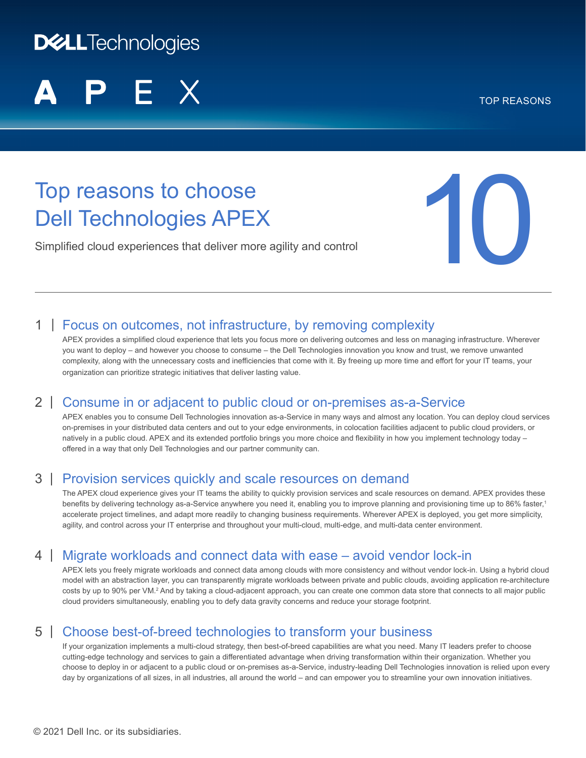# **DELLTechnologies**

TOP REASONS

# Top reasons to choose Dell Technologies APEX

Simplified cloud experiences that deliver more agility and control



# 1 | Focus on outcomes, not infrastructure, by removing complexity

APEX provides a simplified cloud experience that lets you focus more on delivering outcomes and less on managing infrastructure. Wherever you want to deploy – and however you choose to consume – the Dell Technologies innovation you know and trust, we remove unwanted complexity, along with the unnecessary costs and inefficiencies that come with it. By freeing up more time and effort for your IT teams, your organization can prioritize strategic initiatives that deliver lasting value.

### 2 | Consume in or adjacent to public cloud or on-premises as-a-Service

APEX enables you to consume Dell Technologies innovation as-a-Service in many ways and almost any location. You can deploy cloud services on-premises in your distributed data centers and out to your edge environments, in colocation facilities adjacent to public cloud providers, or natively in a public cloud. APEX and its extended portfolio brings you more choice and flexibility in how you implement technology today – offered in a way that only Dell Technologies and our partner community can.

### 3 | Provision services quickly and scale resources on demand

The APEX cloud experience gives your IT teams the ability to quickly provision services and scale resources on demand. APEX provides these benefits by delivering technology as-a-Service anywhere you need it, enabling you to improve planning and provisioning time up to 86% faster, 1 accelerate project timelines, and adapt more readily to changing business requirements. Wherever APEX is deployed, you get more simplicity, agility, and control across your IT enterprise and throughout your multi-cloud, multi-edge, and multi-data center environment.

# 4 | Migrate workloads and connect data with ease – avoid vendor lock-in

APEX lets you freely migrate workloads and connect data among clouds with more consistency and without vendor lock-in. Using a hybrid cloud model with an abstraction layer, you can transparently migrate workloads between private and public clouds, avoiding application re-architecture costs by up to 90% per VM.<sup>2</sup> And by taking a cloud-adjacent approach, you can create one common data store that connects to all major public cloud providers simultaneously, enabling you to defy data gravity concerns and reduce your storage footprint.

# 5 | Choose best-of-breed technologies to transform your business

If your organization implements a multi-cloud strategy, then best-of-breed capabilities are what you need. Many IT leaders prefer to choose cutting-edge technology and services to gain a differentiated advantage when driving transformation within their organization. Whether you choose to deploy in or adjacent to a public cloud or on-premises as-a-Service, industry-leading Dell Technologies innovation is relied upon every day by organizations of all sizes, in all industries, all around the world – and can empower you to streamline your own innovation initiatives.